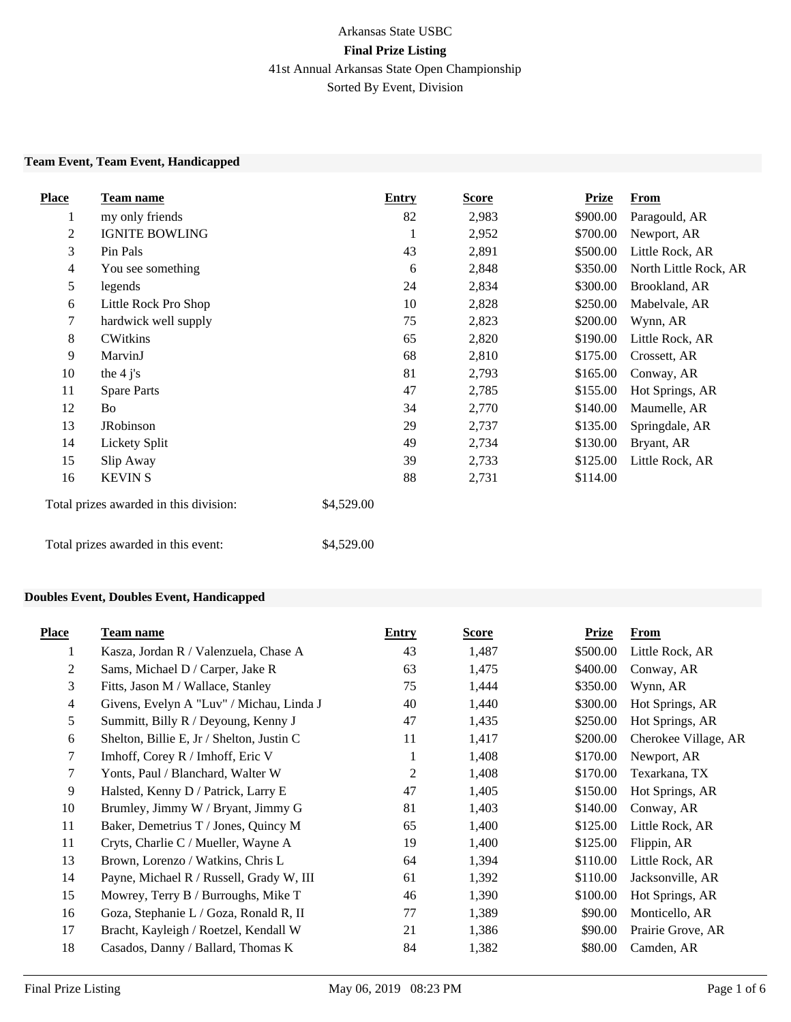## Arkansas State USBC **Final Prize Listing** 41st Annual Arkansas State Open Championship Sorted By Event, Division

#### **Team Event, Team Event, Handicapped**

| <b>Place</b>   | Team name                              | <b>Entry</b> | <b>Score</b> | <b>Prize</b> | <b>From</b>           |
|----------------|----------------------------------------|--------------|--------------|--------------|-----------------------|
| $\mathbf{I}$   | my only friends                        | 82           | 2,983        | \$900.00     | Paragould, AR         |
| 2              | <b>IGNITE BOWLING</b>                  | 1            | 2,952        | \$700.00     | Newport, AR           |
| 3              | Pin Pals                               | 43           | 2,891        | \$500.00     | Little Rock, AR       |
| $\overline{4}$ | You see something                      | 6            | 2,848        | \$350.00     | North Little Rock, AR |
| 5              | legends                                | 24           | 2,834        | \$300.00     | Brookland, AR         |
| 6              | Little Rock Pro Shop                   | 10           | 2,828        | \$250.00     | Mabelvale, AR         |
| 7              | hardwick well supply                   | 75           | 2,823        | \$200.00     | Wynn, AR              |
| 8              | <b>CWitkins</b>                        | 65           | 2,820        | \$190.00     | Little Rock, AR       |
| 9              | MarvinJ                                | 68           | 2,810        | \$175.00     | Crossett, AR          |
| 10             | the $4$ j's                            | 81           | 2,793        | \$165.00     | Conway, AR            |
| 11             | <b>Spare Parts</b>                     | 47           | 2,785        | \$155.00     | Hot Springs, AR       |
| 12             | Bo                                     | 34           | 2,770        | \$140.00     | Maumelle, AR          |
| 13             | <b>JRobinson</b>                       | 29           | 2,737        | \$135.00     | Springdale, AR        |
| 14             | Lickety Split                          | 49           | 2,734        | \$130.00     | Bryant, AR            |
| 15             | Slip Away                              | 39           | 2,733        | \$125.00     | Little Rock, AR       |
| 16             | <b>KEVIN S</b>                         | 88           | 2,731        | \$114.00     |                       |
|                | Total prizes awarded in this division: | \$4,529.00   |              |              |                       |

Total prizes awarded in this event: \$4,529.00

### **Doubles Event, Doubles Event, Handicapped**

| <b>Place</b>   | <b>Team name</b>                          | Entry          | Score | <b>Prize</b> | From                 |
|----------------|-------------------------------------------|----------------|-------|--------------|----------------------|
| 1              | Kasza, Jordan R / Valenzuela, Chase A     | 43             | 1,487 | \$500.00     | Little Rock, AR      |
| 2              | Sams, Michael D / Carper, Jake R          | 63             | 1,475 | \$400.00     | Conway, AR           |
| 3              | Fitts, Jason M / Wallace, Stanley         | 75             | 1,444 | \$350.00     | Wynn, AR             |
| $\overline{4}$ | Givens, Evelyn A "Luv" / Michau, Linda J  | 40             | 1,440 | \$300.00     | Hot Springs, AR      |
| 5              | Summitt, Billy R / Deyoung, Kenny J       | 47             | 1,435 | \$250.00     | Hot Springs, AR      |
| 6              | Shelton, Billie E, Jr / Shelton, Justin C | 11             | 1,417 | \$200.00     | Cherokee Village, AR |
| 7              | Imhoff, Corey R / Imhoff, Eric V          | 1              | 1,408 | \$170.00     | Newport, AR          |
| 7              | Yonts, Paul / Blanchard, Walter W         | $\overline{2}$ | 1,408 | \$170.00     | Texarkana, TX        |
| 9              | Halsted, Kenny D / Patrick, Larry E       | 47             | 1,405 | \$150.00     | Hot Springs, AR      |
| 10             | Brumley, Jimmy W / Bryant, Jimmy G        | 81             | 1,403 | \$140.00     | Conway, AR           |
| 11             | Baker, Demetrius T / Jones, Quincy M      | 65             | 1,400 | \$125.00     | Little Rock, AR      |
| 11             | Cryts, Charlie C / Mueller, Wayne A       | 19             | 1,400 | \$125.00     | Flippin, AR          |
| 13             | Brown, Lorenzo / Watkins, Chris L         | 64             | 1,394 | \$110.00     | Little Rock, AR      |
| 14             | Payne, Michael R / Russell, Grady W, III  | 61             | 1,392 | \$110.00     | Jacksonville, AR     |
| 15             | Mowrey, Terry B / Burroughs, Mike T       | 46             | 1,390 | \$100.00     | Hot Springs, AR      |
| 16             | Goza, Stephanie L / Goza, Ronald R, II    | 77             | 1,389 | \$90.00      | Monticello, AR       |
| 17             | Bracht, Kayleigh / Roetzel, Kendall W     | 21             | 1,386 | \$90.00      | Prairie Grove, AR    |
| 18             | Casados, Danny / Ballard, Thomas K        | 84             | 1,382 | \$80.00      | Camden, AR           |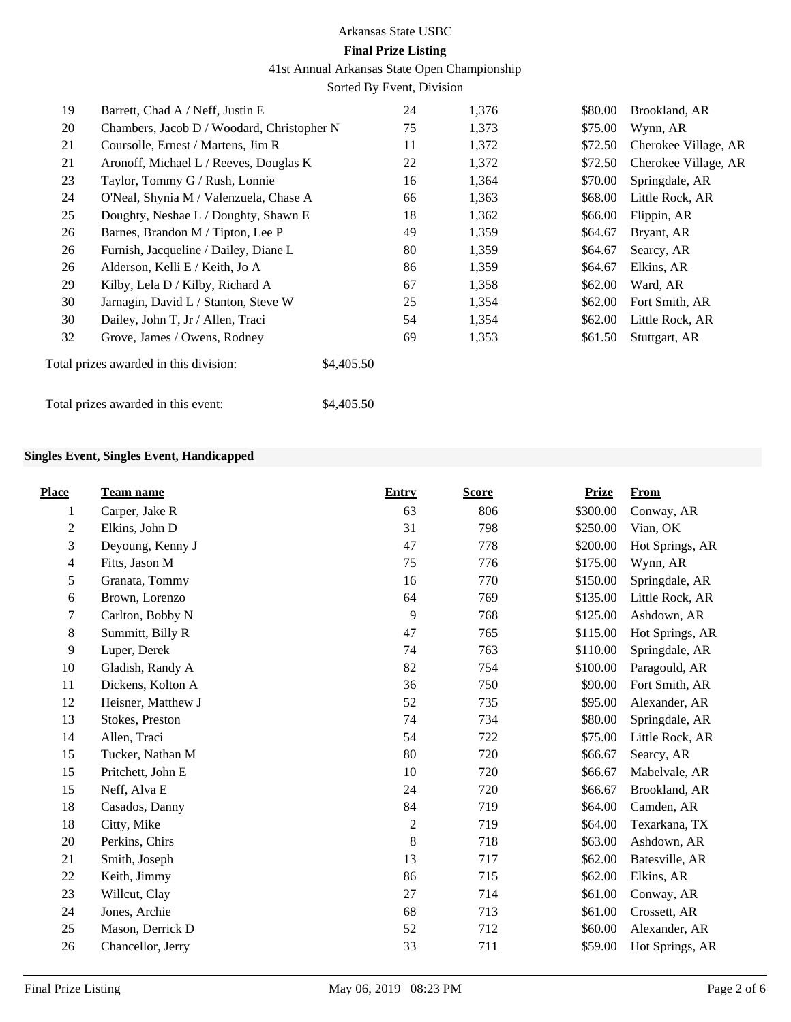41st Annual Arkansas State Open Championship

Sorted By Event, Division

| 19 | Barrett, Chad A / Neff, Justin E           | 24         | 1,376 | \$80.00 | Brookland, AR        |
|----|--------------------------------------------|------------|-------|---------|----------------------|
| 20 | Chambers, Jacob D / Woodard, Christopher N | 75         | 1,373 | \$75.00 | Wynn, AR             |
| 21 | Coursolle, Ernest / Martens, Jim R         | 11         | 1,372 | \$72.50 | Cherokee Village, AR |
| 21 | Aronoff, Michael L / Reeves, Douglas K     | 22         | 1,372 | \$72.50 | Cherokee Village, AR |
| 23 | Taylor, Tommy G / Rush, Lonnie             | 16         | 1,364 | \$70.00 | Springdale, AR       |
| 24 | O'Neal, Shynia M / Valenzuela, Chase A     | 66         | 1,363 | \$68.00 | Little Rock, AR      |
| 25 | Doughty, Neshae L / Doughty, Shawn E       | 18         | 1,362 | \$66.00 | Flippin, AR          |
| 26 | Barnes, Brandon M / Tipton, Lee P          | 49         | 1,359 | \$64.67 | Bryant, AR           |
| 26 | Furnish, Jacqueline / Dailey, Diane L      | 80         | 1,359 | \$64.67 | Searcy, AR           |
| 26 | Alderson, Kelli E / Keith, Jo A            | 86         | 1,359 | \$64.67 | Elkins, AR           |
| 29 | Kilby, Lela D / Kilby, Richard A           | 67         | 1,358 | \$62.00 | Ward, AR             |
| 30 | Jarnagin, David L / Stanton, Steve W       | 25         | 1,354 | \$62.00 | Fort Smith, AR       |
| 30 | Dailey, John T, Jr / Allen, Traci          | 54         | 1,354 | \$62.00 | Little Rock, AR      |
| 32 | Grove, James / Owens, Rodney               | 69         | 1,353 | \$61.50 | Stuttgart, AR        |
|    | Total prizes awarded in this division:     | \$4,405.50 |       |         |                      |
|    | Total prizes awarded in this event:        | \$4,405.50 |       |         |                      |

#### **Singles Event, Singles Event, Handicapped**

| <b>Place</b>   | Team name          | <b>Entry</b>   | <b>Score</b> | <b>Prize</b> | <b>From</b>     |
|----------------|--------------------|----------------|--------------|--------------|-----------------|
| 1              | Carper, Jake R     | 63             | 806          | \$300.00     | Conway, AR      |
| $\mathbf{2}$   | Elkins, John D     | 31             | 798          | \$250.00     | Vian, OK        |
| 3              | Deyoung, Kenny J   | 47             | 778          | \$200.00     | Hot Springs, AR |
| $\overline{4}$ | Fitts, Jason M     | 75             | 776          | \$175.00     | Wynn, AR        |
| 5              | Granata, Tommy     | 16             | 770          | \$150.00     | Springdale, AR  |
| 6              | Brown, Lorenzo     | 64             | 769          | \$135.00     | Little Rock, AR |
| 7              | Carlton, Bobby N   | 9              | 768          | \$125.00     | Ashdown, AR     |
| 8              | Summitt, Billy R   | 47             | 765          | \$115.00     | Hot Springs, AR |
| 9              | Luper, Derek       | 74             | 763          | \$110.00     | Springdale, AR  |
| 10             | Gladish, Randy A   | 82             | 754          | \$100.00     | Paragould, AR   |
| 11             | Dickens, Kolton A  | 36             | 750          | \$90.00      | Fort Smith, AR  |
| 12             | Heisner, Matthew J | 52             | 735          | \$95.00      | Alexander, AR   |
| 13             | Stokes, Preston    | 74             | 734          | \$80.00      | Springdale, AR  |
| 14             | Allen, Traci       | 54             | 722          | \$75.00      | Little Rock, AR |
| 15             | Tucker, Nathan M   | 80             | 720          | \$66.67      | Searcy, AR      |
| 15             | Pritchett, John E  | 10             | 720          | \$66.67      | Mabelvale, AR   |
| 15             | Neff, Alva E       | 24             | 720          | \$66.67      | Brookland, AR   |
| 18             | Casados, Danny     | 84             | 719          | \$64.00      | Camden, AR      |
| 18             | Citty, Mike        | $\overline{c}$ | 719          | \$64.00      | Texarkana, TX   |
| 20             | Perkins, Chirs     | 8              | 718          | \$63.00      | Ashdown, AR     |
| 21             | Smith, Joseph      | 13             | 717          | \$62.00      | Batesville, AR  |
| 22             | Keith, Jimmy       | 86             | 715          | \$62.00      | Elkins, AR      |
| 23             | Willcut, Clay      | 27             | 714          | \$61.00      | Conway, AR      |
| 24             | Jones, Archie      | 68             | 713          | \$61.00      | Crossett, AR    |
| 25             | Mason, Derrick D   | 52             | 712          | \$60.00      | Alexander, AR   |
| 26             | Chancellor, Jerry  | 33             | 711          | \$59.00      | Hot Springs, AR |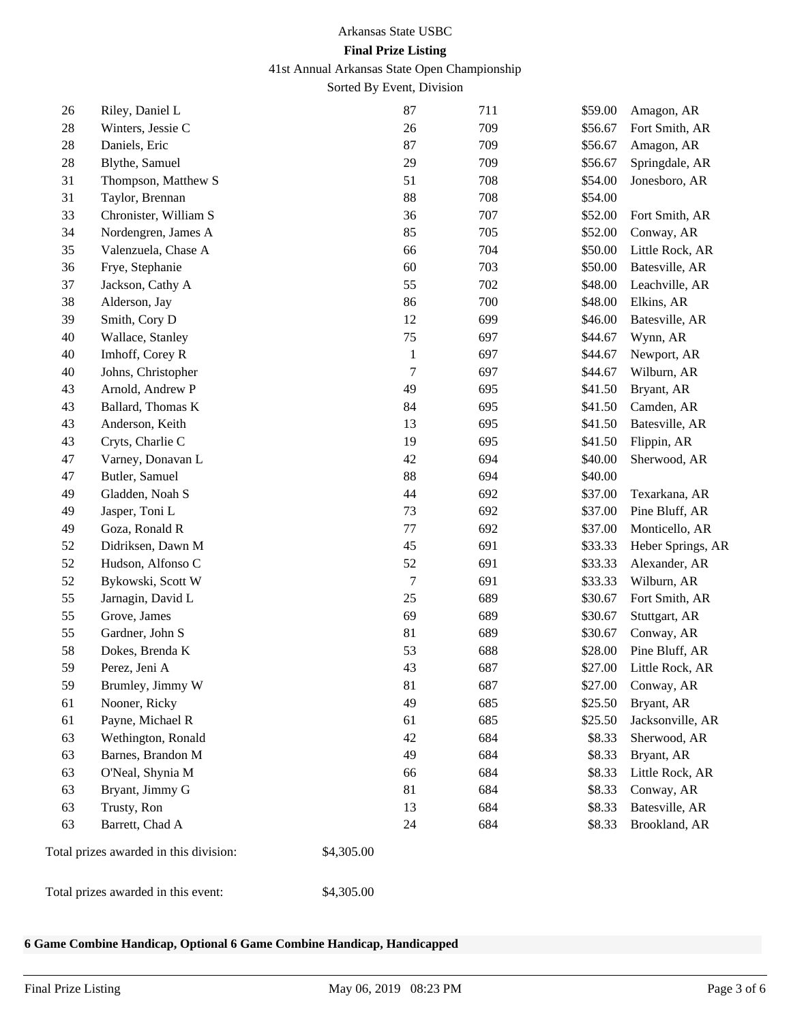41st Annual Arkansas State Open Championship

Sorted By Event, Division

| 26     | Riley, Daniel L                        |            | 87               | 711 | \$59.00 | Amagon, AR        |
|--------|----------------------------------------|------------|------------------|-----|---------|-------------------|
| 28     | Winters, Jessie C                      |            | 26               | 709 | \$56.67 | Fort Smith, AR    |
| 28     | Daniels, Eric                          |            | 87               | 709 | \$56.67 | Amagon, AR        |
| $28\,$ | Blythe, Samuel                         |            | 29               | 709 | \$56.67 | Springdale, AR    |
| 31     | Thompson, Matthew S                    |            | 51               | 708 | \$54.00 | Jonesboro, AR     |
| 31     | Taylor, Brennan                        |            | 88               | 708 | \$54.00 |                   |
| 33     | Chronister, William S                  |            | 36               | 707 | \$52.00 | Fort Smith, AR    |
| 34     | Nordengren, James A                    |            | 85               | 705 | \$52.00 | Conway, AR        |
| 35     | Valenzuela, Chase A                    |            | 66               | 704 | \$50.00 | Little Rock, AR   |
| 36     | Frye, Stephanie                        |            | 60               | 703 | \$50.00 | Batesville, AR    |
| 37     | Jackson, Cathy A                       |            | 55               | 702 | \$48.00 | Leachville, AR    |
| 38     | Alderson, Jay                          |            | 86               | 700 | \$48.00 | Elkins, AR        |
| 39     | Smith, Cory D                          |            | 12               | 699 | \$46.00 | Batesville, AR    |
| 40     | Wallace, Stanley                       |            | 75               | 697 | \$44.67 | Wynn, AR          |
| 40     | Imhoff, Corey R                        |            | $\mathbf{1}$     | 697 | \$44.67 | Newport, AR       |
| 40     | Johns, Christopher                     |            | $\overline{7}$   | 697 | \$44.67 | Wilburn, AR       |
| 43     | Arnold, Andrew P                       |            | 49               | 695 | \$41.50 | Bryant, AR        |
| 43     | Ballard, Thomas K                      |            | 84               | 695 | \$41.50 | Camden, AR        |
| 43     | Anderson, Keith                        |            | 13               | 695 | \$41.50 | Batesville, AR    |
| 43     | Cryts, Charlie C                       |            | 19               | 695 | \$41.50 | Flippin, AR       |
| 47     | Varney, Donavan L                      |            | 42               | 694 | \$40.00 | Sherwood, AR      |
| 47     | Butler, Samuel                         |            | 88               | 694 | \$40.00 |                   |
| 49     | Gladden, Noah S                        |            | 44               | 692 | \$37.00 | Texarkana, AR     |
| 49     | Jasper, Toni L                         |            | 73               | 692 | \$37.00 | Pine Bluff, AR    |
| 49     | Goza, Ronald R                         |            | 77               | 692 | \$37.00 | Monticello, AR    |
| 52     | Didriksen, Dawn M                      |            | 45               | 691 | \$33.33 | Heber Springs, AR |
| 52     | Hudson, Alfonso C                      |            | 52               | 691 | \$33.33 | Alexander, AR     |
| 52     | Bykowski, Scott W                      |            | $\boldsymbol{7}$ | 691 | \$33.33 | Wilburn, AR       |
| 55     | Jarnagin, David L                      |            | 25               | 689 | \$30.67 | Fort Smith, AR    |
| 55     | Grove, James                           |            | 69               | 689 | \$30.67 | Stuttgart, AR     |
| 55     | Gardner, John S                        |            | 81               | 689 | \$30.67 | Conway, AR        |
| 58     | Dokes, Brenda K                        |            | 53               | 688 | \$28.00 | Pine Bluff, AR    |
| 59     | Perez, Jeni A                          |            | 43               | 687 | \$27.00 | Little Rock, AR   |
| 59     | Brumley, Jimmy W                       |            | 81               | 687 | \$27.00 | Conway, AR        |
| 61     | Nooner, Ricky                          |            | 49               | 685 | \$25.50 | Bryant, AR        |
| 61     | Payne, Michael R                       |            | 61               | 685 | \$25.50 | Jacksonville, AR  |
| 63     | Wethington, Ronald                     |            | 42               | 684 | \$8.33  | Sherwood, AR      |
| 63     | Barnes, Brandon M                      |            | 49               | 684 | \$8.33  | Bryant, AR        |
| 63     | O'Neal, Shynia M                       |            | 66               | 684 | \$8.33  | Little Rock, AR   |
| 63     | Bryant, Jimmy G                        |            | 81               | 684 | \$8.33  | Conway, AR        |
| 63     | Trusty, Ron                            |            | 13               | 684 | \$8.33  | Batesville, AR    |
| 63     | Barrett, Chad A                        |            | 24               | 684 | \$8.33  | Brookland, AR     |
|        | Total prizes awarded in this division: | \$4,305.00 |                  |     |         |                   |
|        | Total prizes awarded in this event:    | \$4,305.00 |                  |     |         |                   |

#### **6 Game Combine Handicap, Optional 6 Game Combine Handicap, Handicapped**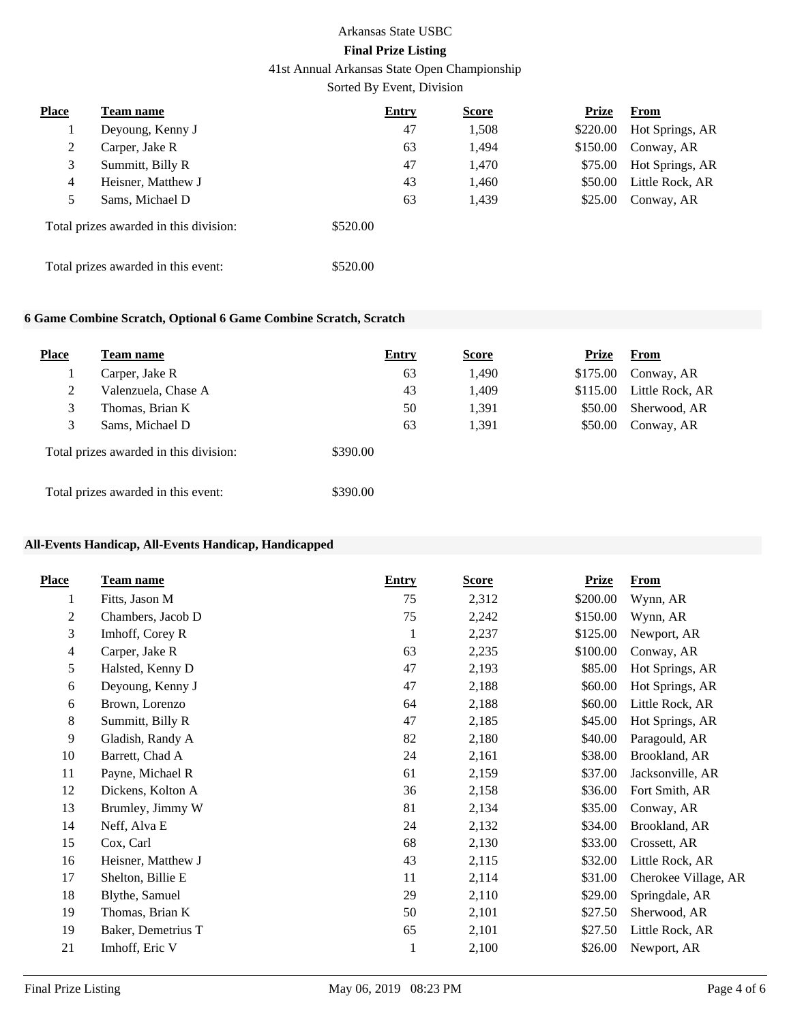41st Annual Arkansas State Open Championship

Sorted By Event, Division

| Place | Team name                              | <b>Entry</b> | <b>Score</b> | <b>Prize</b> | <b>From</b>     |
|-------|----------------------------------------|--------------|--------------|--------------|-----------------|
|       | Deyoung, Kenny J                       | 47           | 1,508        | \$220.00     | Hot Springs, AR |
| 2     | Carper, Jake R                         | 63           | 1,494        | \$150.00     | Conway, AR      |
| 3     | Summitt, Billy R                       | 47           | 1,470        | \$75.00      | Hot Springs, AR |
| 4     | Heisner, Matthew J                     | 43           | 1,460        | \$50.00      | Little Rock, AR |
| 5     | Sams, Michael D                        | 63           | 1,439        | \$25.00      | Conway, AR      |
|       | Total prizes awarded in this division: | \$520.00     |              |              |                 |
|       | Total prizes awarded in this event:    | \$520.00     |              |              |                 |

### **6 Game Combine Scratch, Optional 6 Game Combine Scratch, Scratch**

| <b>Place</b> | Team name                              | <b>Entry</b> | <b>Score</b> | Prize    | <b>From</b>     |
|--------------|----------------------------------------|--------------|--------------|----------|-----------------|
|              | Carper, Jake R                         | 63           | 1,490        | \$175.00 | Conway, AR      |
| 2            | Valenzuela, Chase A                    | 43           | 1,409        | \$115.00 | Little Rock, AR |
| 3            | Thomas, Brian K                        | 50           | 1,391        | \$50.00  | Sherwood, AR    |
| 3            | Sams, Michael D                        | 63           | 1,391        | \$50.00  | Conway, AR      |
|              | Total prizes awarded in this division: | \$390.00     |              |          |                 |
|              | Total prizes awarded in this event:    | \$390.00     |              |          |                 |

#### **All-Events Handicap, All-Events Handicap, Handicapped**

| <b>Place</b> | Team name          | <b>Entry</b> | <b>Score</b> | <b>Prize</b> | <b>From</b>          |
|--------------|--------------------|--------------|--------------|--------------|----------------------|
| 1            | Fitts, Jason M     | 75           | 2,312        | \$200.00     | Wynn, AR             |
| 2            | Chambers, Jacob D  | 75           | 2,242        | \$150.00     | Wynn, AR             |
| 3            | Imhoff, Corey R    | 1            | 2,237        | \$125.00     | Newport, AR          |
| 4            | Carper, Jake R     | 63           | 2,235        | \$100.00     | Conway, AR           |
| 5            | Halsted, Kenny D   | 47           | 2,193        | \$85.00      | Hot Springs, AR      |
| 6            | Deyoung, Kenny J   | 47           | 2,188        | \$60.00      | Hot Springs, AR      |
| 6            | Brown, Lorenzo     | 64           | 2,188        | \$60.00      | Little Rock, AR      |
| 8            | Summitt, Billy R   | 47           | 2,185        | \$45.00      | Hot Springs, AR      |
| 9            | Gladish, Randy A   | 82           | 2,180        | \$40.00      | Paragould, AR        |
| 10           | Barrett, Chad A    | 24           | 2,161        | \$38.00      | Brookland, AR        |
| 11           | Payne, Michael R   | 61           | 2,159        | \$37.00      | Jacksonville, AR     |
| 12           | Dickens, Kolton A  | 36           | 2,158        | \$36.00      | Fort Smith, AR       |
| 13           | Brumley, Jimmy W   | 81           | 2,134        | \$35.00      | Conway, AR           |
| 14           | Neff, Alva E       | 24           | 2,132        | \$34.00      | Brookland, AR        |
| 15           | Cox, Carl          | 68           | 2,130        | \$33.00      | Crossett, AR         |
| 16           | Heisner, Matthew J | 43           | 2,115        | \$32.00      | Little Rock, AR      |
| 17           | Shelton, Billie E  | 11           | 2,114        | \$31.00      | Cherokee Village, AR |
| 18           | Blythe, Samuel     | 29           | 2,110        | \$29.00      | Springdale, AR       |
| 19           | Thomas, Brian K    | 50           | 2,101        | \$27.50      | Sherwood, AR         |
| 19           | Baker, Demetrius T | 65           | 2,101        | \$27.50      | Little Rock, AR      |
| 21           | Imhoff, Eric V     | 1            | 2,100        | \$26.00      | Newport, AR          |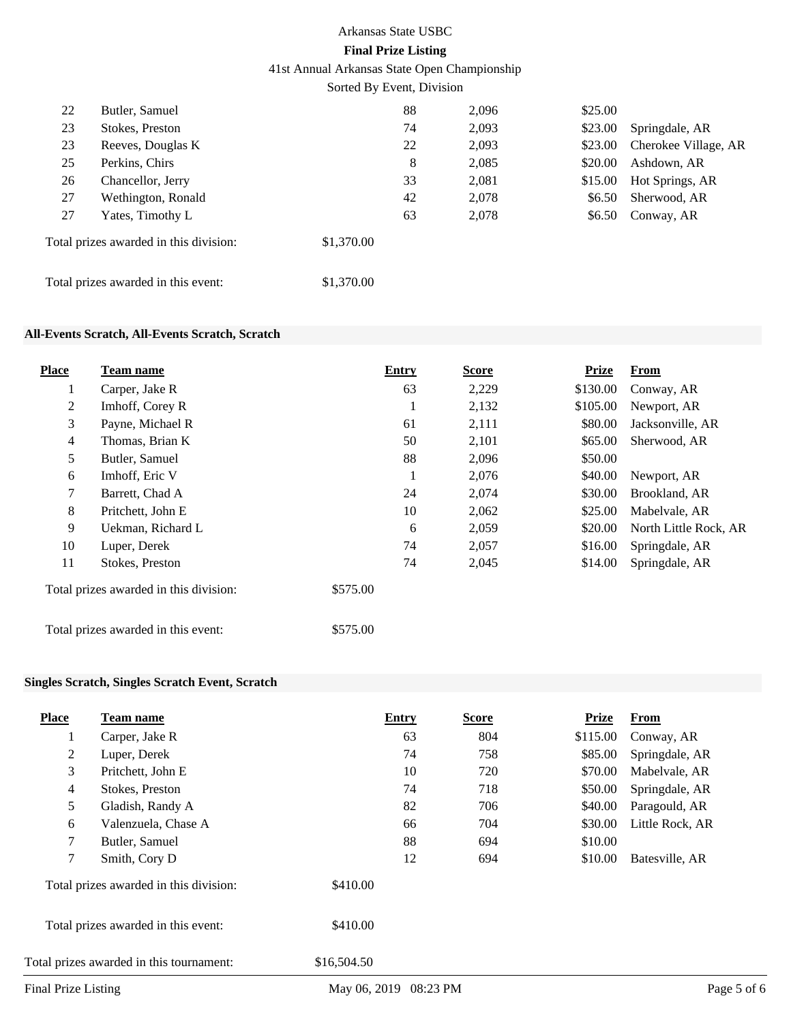41st Annual Arkansas State Open Championship

Sorted By Event, Division

| 22 | Butler, Samuel                         |            | 88 | 2,096 | \$25.00 |                      |
|----|----------------------------------------|------------|----|-------|---------|----------------------|
| 23 | Stokes, Preston                        |            | 74 | 2,093 | \$23.00 | Springdale, AR       |
| 23 | Reeves, Douglas K                      |            | 22 | 2,093 | \$23.00 | Cherokee Village, AR |
| 25 | Perkins, Chirs                         |            | 8  | 2,085 | \$20.00 | Ashdown, AR          |
| 26 | Chancellor, Jerry                      |            | 33 | 2,081 | \$15.00 | Hot Springs, AR      |
| 27 | Wethington, Ronald                     |            | 42 | 2,078 | \$6.50  | Sherwood, AR         |
| 27 | Yates, Timothy L                       |            | 63 | 2,078 | \$6.50  | Conway, AR           |
|    | Total prizes awarded in this division: | \$1,370.00 |    |       |         |                      |
|    | Total prizes awarded in this event:    | \$1,370.00 |    |       |         |                      |

### **All-Events Scratch, All-Events Scratch, Scratch**

| <b>Place</b> | Team name                              | <b>Entry</b> | <b>Score</b> | <b>Prize</b> | From                  |
|--------------|----------------------------------------|--------------|--------------|--------------|-----------------------|
|              | Carper, Jake R                         | 63           | 2,229        | \$130.00     | Conway, AR            |
| 2            | Imhoff, Corey R                        | 1            | 2,132        | \$105.00     | Newport, AR           |
| 3            | Payne, Michael R                       | 61           | 2,111        | \$80.00      | Jacksonville, AR      |
| 4            | Thomas, Brian K                        | 50           | 2,101        | \$65.00      | Sherwood, AR          |
| 5            | Butler, Samuel                         | 88           | 2,096        | \$50.00      |                       |
| 6            | Imhoff, Eric V                         | 1            | 2,076        | \$40.00      | Newport, AR           |
| 7            | Barrett, Chad A                        | 24           | 2,074        | \$30.00      | Brookland, AR         |
| 8            | Pritchett, John E                      | 10           | 2,062        | \$25.00      | Mabelvale, AR         |
| 9            | Uekman, Richard L                      | 6            | 2,059        | \$20.00      | North Little Rock, AR |
| 10           | Luper, Derek                           | 74           | 2,057        | \$16.00      | Springdale, AR        |
| 11           | Stokes, Preston                        | 74           | 2,045        | \$14.00      | Springdale, AR        |
|              | Total prizes awarded in this division: | \$575.00     |              |              |                       |
|              | Total prizes awarded in this event:    | \$575.00     |              |              |                       |

### **Singles Scratch, Singles Scratch Event, Scratch**

| Team name<br>Carper, Jake R |                                                                                                                           | <b>Entry</b> | <b>Score</b> | Prize    | From            |  |
|-----------------------------|---------------------------------------------------------------------------------------------------------------------------|--------------|--------------|----------|-----------------|--|
|                             |                                                                                                                           |              |              |          |                 |  |
|                             |                                                                                                                           | 63           | 804          | \$115.00 | Conway, AR      |  |
| Luper, Derek                |                                                                                                                           | 74           | 758          | \$85.00  | Springdale, AR  |  |
| Pritchett, John E           |                                                                                                                           | 10           | 720          | \$70.00  | Mabelvale, AR   |  |
| Stokes, Preston             |                                                                                                                           | 74           | 718          | \$50.00  | Springdale, AR  |  |
| Gladish, Randy A            |                                                                                                                           | 82           | 706          | \$40.00  | Paragould, AR   |  |
| Valenzuela, Chase A         |                                                                                                                           | 66           | 704          | \$30.00  | Little Rock, AR |  |
| Butler, Samuel              |                                                                                                                           | 88           | 694          | \$10.00  |                 |  |
| Smith, Cory D               |                                                                                                                           | 12           | 694          | \$10.00  | Batesville, AR  |  |
|                             | \$410.00                                                                                                                  |              |              |          |                 |  |
|                             | \$410.00                                                                                                                  |              |              |          |                 |  |
|                             | \$16,504.50                                                                                                               |              |              |          |                 |  |
|                             | Total prizes awarded in this division:<br>Total prizes awarded in this event:<br>Total prizes awarded in this tournament: |              |              |          |                 |  |